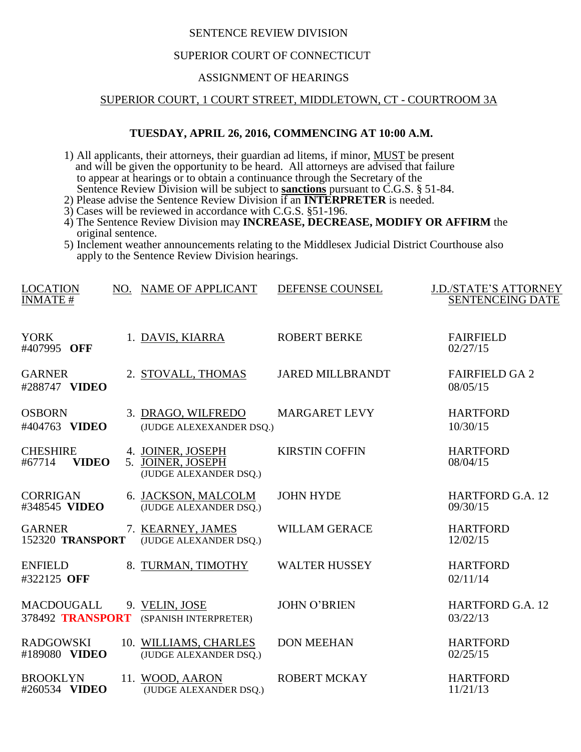# SENTENCE REVIEW DIVISION

# SUPERIOR COURT OF CONNECTICUT

#### ASSIGNMENT OF HEARINGS

## SUPERIOR COURT, 1 COURT STREET, MIDDLETOWN, CT - COURTROOM 3A

## **TUESDAY, APRIL 26, 2016, COMMENCING AT 10:00 A.M.**

- 1) All applicants, their attorneys, their guardian ad litems, if minor, MUST be present and will be given the opportunity to be heard. All attorneys are advised that failure to appear at hearings or to obtain a continuance through the Secretary of the Sentence Review Division will be subject to **sanctions** pursuant to C.G.S. § 51-84.
- 2) Please advise the Sentence Review Division if an **INTERPRETER** is needed.
- 3) Cases will be reviewed in accordance with C.G.S. §51-196.
- 4) The Sentence Review Division may **INCREASE, DECREASE, MODIFY OR AFFIRM** the original sentence.
- 5) Inclement weather announcements relating to the Middlesex Judicial District Courthouse also apply to the Sentence Review Division hearings.

| <b>LOCATION</b><br><b>INMATE#</b>         | NO. NAME OF APPLICANT                                            | DEFENSE COUNSEL         | <b>J.D./STATE'S ATTORNEY</b><br><b>SENTENCEING DATE</b> |
|-------------------------------------------|------------------------------------------------------------------|-------------------------|---------------------------------------------------------|
| <b>YORK</b><br>#407995 OFF                | 1. DAVIS, KIARRA                                                 | <b>ROBERT BERKE</b>     | <b>FAIRFIELD</b><br>02/27/15                            |
| <b>GARNER</b><br>#288747 VIDEO            | 2. STOVALL, THOMAS                                               | <b>JARED MILLBRANDT</b> | <b>FAIRFIELD GA 2</b><br>08/05/15                       |
| <b>OSBORN</b><br>#404763 VIDEO            | 3. DRAGO, WILFREDO<br>(JUDGE ALEXEXANDER DSQ.)                   | <b>MARGARET LEVY</b>    | <b>HARTFORD</b><br>10/30/15                             |
| <b>CHESHIRE</b><br><b>VIDEO</b><br>#67714 | 4. JOINER, JOSEPH<br>5. JOINER, JOSEPH<br>(JUDGE ALEXANDER DSQ.) | <b>KIRSTIN COFFIN</b>   | <b>HARTFORD</b><br>08/04/15                             |
| <b>CORRIGAN</b><br>#348545 VIDEO          | 6. JACKSON, MALCOLM<br>(JUDGE ALEXANDER DSQ.)                    | <b>JOHN HYDE</b>        | <b>HARTFORD G.A. 12</b><br>09/30/15                     |
| <b>GARNER</b><br>152320 TRANSPORT         | 7. KEARNEY, JAMES<br>(JUDGE ALEXANDER DSQ.)                      | <b>WILLAM GERACE</b>    | <b>HARTFORD</b><br>12/02/15                             |
| <b>ENFIELD</b><br>#322125 OFF             | 8. TURMAN, TIMOTHY                                               | <b>WALTER HUSSEY</b>    | <b>HARTFORD</b><br>02/11/14                             |
| <b>MACDOUGALL</b><br>378492 TRANSPORT     | 9. VELIN, JOSE<br>(SPANISH INTERPRETER)                          | <b>JOHN O'BRIEN</b>     | <b>HARTFORD G.A. 12</b><br>03/22/13                     |
| <b>RADGOWSKI</b><br>#189080 VIDEO         | 10. WILLIAMS, CHARLES<br>(JUDGE ALEXANDER DSQ.)                  | <b>DON MEEHAN</b>       | <b>HARTFORD</b><br>02/25/15                             |
| <b>BROOKLYN</b><br>#260534 VIDEO          | 11. WOOD, AARON<br>(JUDGE ALEXANDER DSQ.)                        | <b>ROBERT MCKAY</b>     | <b>HARTFORD</b><br>11/21/13                             |